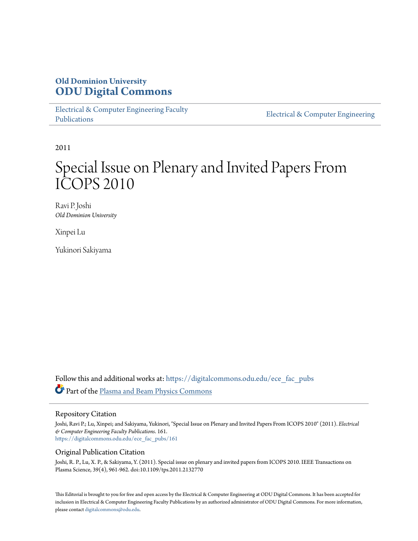### **Old Dominion University [ODU Digital Commons](https://digitalcommons.odu.edu?utm_source=digitalcommons.odu.edu%2Fece_fac_pubs%2F161&utm_medium=PDF&utm_campaign=PDFCoverPages)**

[Electrical & Computer Engineering Faculty](https://digitalcommons.odu.edu/ece_fac_pubs?utm_source=digitalcommons.odu.edu%2Fece_fac_pubs%2F161&utm_medium=PDF&utm_campaign=PDFCoverPages) [Publications](https://digitalcommons.odu.edu/ece_fac_pubs?utm_source=digitalcommons.odu.edu%2Fece_fac_pubs%2F161&utm_medium=PDF&utm_campaign=PDFCoverPages)

[Electrical & Computer Engineering](https://digitalcommons.odu.edu/ece?utm_source=digitalcommons.odu.edu%2Fece_fac_pubs%2F161&utm_medium=PDF&utm_campaign=PDFCoverPages)

2011

# Special Issue on Plenary and Invited Papers From ICOPS 2010

Ravi P. Joshi *Old Dominion University*

Xinpei Lu

Yukinori Sakiyama

Follow this and additional works at: [https://digitalcommons.odu.edu/ece\\_fac\\_pubs](https://digitalcommons.odu.edu/ece_fac_pubs?utm_source=digitalcommons.odu.edu%2Fece_fac_pubs%2F161&utm_medium=PDF&utm_campaign=PDFCoverPages) Part of the [Plasma and Beam Physics Commons](http://network.bepress.com/hgg/discipline/205?utm_source=digitalcommons.odu.edu%2Fece_fac_pubs%2F161&utm_medium=PDF&utm_campaign=PDFCoverPages)

#### Repository Citation

Joshi, Ravi P.; Lu, Xinpei; and Sakiyama, Yukinori, "Special Issue on Plenary and Invited Papers From ICOPS 2010" (2011). *Electrical & Computer Engineering Faculty Publications*. 161. [https://digitalcommons.odu.edu/ece\\_fac\\_pubs/161](https://digitalcommons.odu.edu/ece_fac_pubs/161?utm_source=digitalcommons.odu.edu%2Fece_fac_pubs%2F161&utm_medium=PDF&utm_campaign=PDFCoverPages)

#### Original Publication Citation

Joshi, R. P., Lu, X. P., & Sakiyama, Y. (2011). Special issue on plenary and invited papers from ICOPS 2010. IEEE Transactions on Plasma Science, 39(4), 961-962. doi:10.1109/tps.2011.2132770

This Editorial is brought to you for free and open access by the Electrical & Computer Engineering at ODU Digital Commons. It has been accepted for inclusion in Electrical & Computer Engineering Faculty Publications by an authorized administrator of ODU Digital Commons. For more information, please contact [digitalcommons@odu.edu](mailto:digitalcommons@odu.edu).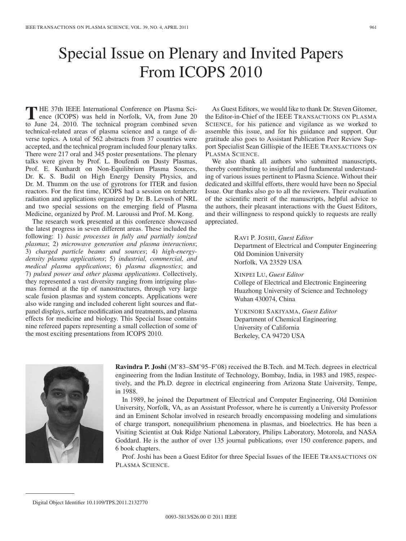# Special Issue on Plenary and Invited Papers From ICOPS 2010

**T** HE 37th IEEE International Conference on Plasma Science (ICOPS) was held in Norfolk, VA, from June 20<br>the line 24, 2010. The technical general complimed secure to June 24, 2010. The technical program combined seven technical-related areas of plasma science and a range of diverse topics. A total of 562 abstracts from 37 countries were accepted, and the technical program included four plenary talks. There were 217 oral and 345 poster presentations. The plenary talks were given by Prof. L. Boufendi on Dusty Plasmas, Prof. E. Kunhardt on Non-Equilibrium Plasma Sources, Dr. K. S. Budil on High Energy Density Physics, and Dr. M. Thumm on the use of gyrotrons for ITER and fusion reactors. For the first time, ICOPS had a session on terahertz radiation and applications organized by Dr. B. Levush of NRL and two special sessions on the emerging field of Plasma Medicine, organized by Prof. M. Laroussi and Prof. M. Kong.

The research work presented at this conference showcased the latest progress in seven different areas. These included the following: 1) *basic processes in fully and partially ionized plasmas*; 2) *microwave generation and plasma interactions*; 3) *charged particle beams and sources*; 4) *high-energydensity plasma applications*; 5) *industrial, commercial, and medical plasma applications*; 6) *plasma diagnostics*; and 7) *pulsed power and other plasma applications*. Collectively, they represented a vast diversity ranging from intriguing plasmas formed at the tip of nanostructures, through very large scale fusion plasmas and system concepts. Applications were also wide ranging and included coherent light sources and flatpanel displays, surface modification and treatments, and plasma effects for medicine and biology. This Special Issue contains nine refereed papers representing a small collection of some of the most exciting presentations from ICOPS 2010.

As Guest Editors, we would like to thank Dr. Steven Gitomer, the Editor-in-Chief of the IEEE TRANSACTIONS ON PLASMA SCIENCE, for his patience and vigilance as we worked to assemble this issue, and for his guidance and support. Our gratitude also goes to Assistant Publication Peer Review Support Specialist Sean Gillispie of the IEEE TRANSACTIONS ON PLASMA SCIENCE.

We also thank all authors who submitted manuscripts, thereby contributing to insightful and fundamental understanding of various issues pertinent to Plasma Science. Without their dedicated and skillful efforts, there would have been no Special Issue. Our thanks also go to all the reviewers. Their evaluation of the scientific merit of the manuscripts, helpful advice to the authors, their pleasant interactions with the Guest Editors, and their willingness to respond quickly to requests are really appreciated.

> RAVI P. JOSHI, *Guest Editor* Department of Electrical and Computer Engineering Old Dominion University Norfolk, VA 23529 USA

XINPEI LU, *Guest Editor*

College of Electrical and Electronic Engineering Huazhong University of Science and Technology Wuhan 430074, China

YUKINORI SAKIYAMA, *Guest Editor* Department of Chemical Engineering University of California Berkeley, CA 94720 USA



**Ravindra P. Joshi** (M'83–SM'95–F'08) received the B.Tech. and M.Tech. degrees in electrical engineering from the Indian Institute of Technology, Bombay, India, in 1983 and 1985, respectively, and the Ph.D. degree in electrical engineering from Arizona State University, Tempe, in 1988.

In 1989, he joined the Department of Electrical and Computer Engineering, Old Dominion University, Norfolk, VA, as an Assistant Professor, where he is currently a University Professor and an Eminent Scholar involved in research broadly encompassing modeling and simulations of charge transport, nonequilibrium phenomena in plasmas, and bioelectrics. He has been a Visiting Scientist at Oak Ridge National Laboratory, Philips Laboratory, Motorola, and NASA Goddard. He is the author of over 135 journal publications, over 150 conference papers, and 6 book chapters.

Prof. Joshi has been a Guest Editor for three Special Issues of the IEEE TRANSACTIONS ON PLASMA SCIENCE.

Digital Object Identifier 10.1109/TPS.2011.2132770